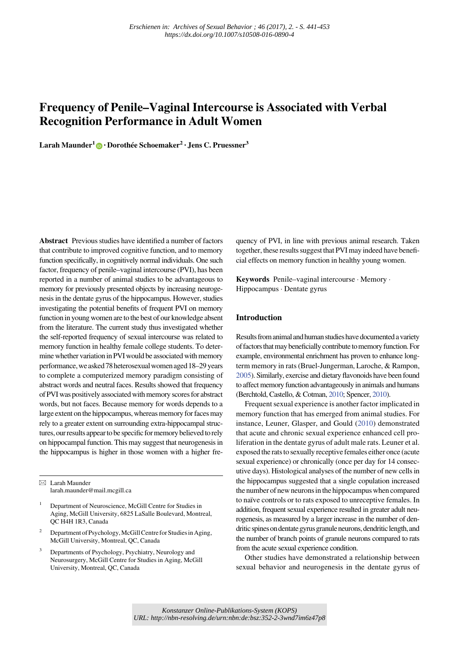# Frequency of Penile–Vaginal Intercourse is Associated with Verbal Recognition Performance in Adult Women

Larah Maunder<sup>1</sup> • Dorothée Schoemaker<sup>2</sup> • Jens C. Pruessner<sup>3</sup>

Abstract Previous studies have identified a number of factors that contribute to improved cognitive function, and to memory function specifically, in cognitively normal individuals. One such factor, frequency of penile–vaginal intercourse (PVI), has been reported in a number of animal studies to be advantageous to memory for previously presented objects by increasing neurogenesis in the dentate gyrus of the hippocampus. However, studies investigating the potential benefits of frequent PVI on memory function in young women are to the best of our knowledge absent from the literature. The current study thus investigated whether the self-reported frequency of sexual intercourse was related to memory function in healthy female college students. To determine whether variation in PVI would be associated with memory performance,weasked 78 heterosexualwomenaged 18–29 years to complete a computerized memory paradigm consisting of abstract words and neutral faces. Results showed that frequency of PVI was positively associated with memory scores for abstract words, but not faces. Because memory for words depends to a large extent onthe hippocampus, whereas memory for faces may rely to a greater extent on surrounding extra-hippocampal structures, our results appear to be specific for memory believed to rely on hippocampal function. This may suggest that neurogenesis in the hippocampus is higher in those women with a higher fre-

 $\boxtimes$  Larah Maunder larah.maunder@mail.mcgill.ca

- <sup>1</sup> Department of Neuroscience, McGill Centre for Studies in Aging, McGill University, 6825 LaSalle Boulevard, Montreal, QC H4H 1R3, Canada
- Department of Psychology, McGill Centre for Studies in Aging, McGill University, Montreal, QC, Canada
- <sup>3</sup> Departments of Psychology, Psychiatry, Neurology and Neurosurgery, McGill Centre for Studies in Aging, McGill University, Montreal, QC, Canada

quency of PVI, in line with previous animal research. Taken together, these results suggest that PVI may indeed have beneficial effects on memory function in healthy young women.

Keywords Penile–vaginal intercourse - Memory - Hippocampus - Dentate gyrus

# Introduction

Results from animal and human studies have documented a variety of factors that may beneficially contribute to memory function. For example, environmental enrichment has proven to enhance longterm memory in rats (Bruel-Jungerman, Laroche, & Rampon, 2005). Similarly, exercise and dietary flavonoids have been found to affect memory function advantageously in animals and humans (Berchtold, Castello, & Cotman, 2010; Spencer, 2010).

Frequent sexual experience is another factor implicated in memory function that has emerged from animal studies. For instance, Leuner, Glasper, and Gould (2010) demonstrated that acute and chronic sexual experience enhanced cell proliferation in the dentate gyrus of adult male rats. Leuner et al. exposed the rats to sexually receptive females either once (acute sexual experience) or chronically (once per day for 14 consecutive days). Histological analyses of the number of new cells in the hippocampus suggested that a single copulation increased the number of new neurons in the hippocampus when compared to naïve controls or to rats exposed to unreceptive females. In addition, frequent sexual experience resulted in greater adult neurogenesis, as measured by a larger increase in the number of dendritic spines on dentate gyrus granule neurons, dendritic length, and the number of branch points of granule neurons compared to rats from the acute sexual experience condition.

Other studies have demonstrated a relationship between sexual behavior and neurogenesis in the dentate gyrus of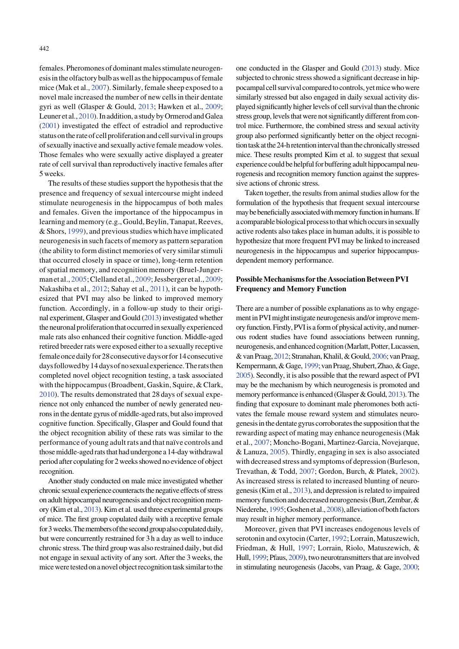females. Pheromones of dominant males stimulate neurogenesisinthe olfactory bulb as well asthe hippocampus of female mice (Mak et al., 2007). Similarly, female sheep exposed to a novel male increased the number of new cells in their dentate gyri as well (Glasper & Gould, 2013; Hawken et al., 2009; Leuner et al.,2010). In addition, a study by Ormerod and Galea (2001) investigated the effect of estradiol and reproductive status onthe rate of cell proliferation and cell survivalin groups of sexually inactive and sexually active female meadow voles. Those females who were sexually active displayed a greater rate of cell survival than reproductively inactive females after 5 weeks.

The results of these studies support the hypothesis that the presence and frequency of sexual intercourse might indeed stimulate neurogenesis in the hippocampus of both males and females. Given the importance of the hippocampus in learning and memory (e.g., Gould, Beylin, Tanapat, Reeves, & Shors, 1999), and previous studies which have implicated neurogenesis in such facets of memory as pattern separation (the ability to form distinct memories of very similar stimuli that occurred closely in space or time), long-term retention of spatial memory, and recognition memory (Bruel-Jungerman et al., 2005;Clelland et al., 2009; Jessberger et al., 2009; Nakashiba et al., 2012; Sahay et al., 2011), it can be hypothesized that PVI may also be linked to improved memory function. Accordingly, in a follow-up study to their original experiment, Glasper and Gould (2013) investigated whether the neuronal proliferation that occurred in sexually experienced male rats also enhanced their cognitive function. Middle-aged retired breeder rats were exposed either to a sexually receptive female once daily for 28consecutive days or for 14consecutive days followed by 14 days of no sexual experience. The rats then completed novel object recognition testing, a task associated with the hippocampus (Broadbent, Gaskin, Squire, & Clark, 2010). The results demonstrated that 28 days of sexual experience not only enhanced the number of newly generated neurons in the dentate gyrus of middle-aged rats, but also improved cognitive function. Specifically, Glasper and Gould found that the object recognition ability of these rats was similar to the performance of young adult rats and that naïve controls and thosemiddle-aged ratsthat had undergone a 14-day withdrawal period after copulating for 2 weeks showed no evidence of object recognition.

Another study conducted on male mice investigated whether chronic sexual experience counteracts the negative effects of stress on adult hippocampal neurogenesis and object recognition memory (Kim et al., 2013). Kim et al. used three experimental groups of mice. The first group copulated daily with a receptive female for 3 weeks. The members of the second group also copulated daily, but were concurrently restrained for 3 h a day as well to induce chronic stress. The third group was also restrained daily, but did not engage in sexual activity of any sort. After the 3 weeks, the mice were tested on a novel object recognition task similar to the one conducted in the Glasper and Gould (2013) study. Mice subjected to chronic stress showed a significant decrease in hippocampal cell survival comparedto controls, yetmice who were similarly stressed but also engaged in daily sexual activity displayed significantly higher levels of cell survival than the chronic stress group, levels that were not significantly different from control mice. Furthermore, the combined stress and sexual activity group also performed significantly better on the object recognition task at the 24-h retention interval than the chronically stressed mice. These results prompted Kim et al. to suggest that sexual experience could be helpful for buffering adult hippocampal neurogenesis and recognition memory function against the suppressive actions of chronic stress.

Taken together, the results from animal studies allow for the formulation of the hypothesis that frequent sexual intercourse may be beneficially associated with memory function in humans. If a comparable biological process to that which occurs in sexually active rodents also takes place in human adults, it is possible to hypothesize that more frequent PVI may be linked to increased neurogenesis in the hippocampus and superior hippocampusdependent memory performance.

## Possible Mechanisms for the Association Between PVI Frequency and Memory Function

There are a number of possible explanations as to why engagement in PVI might instigate neurogenesis and/or improve memory function. Firstly, PVI is a form of physical activity, and numerous rodent studies have found associations between running, neurogenesis, and enhanced cognition (Marlatt, Potter,Lucassen, & van Praag, 2012; Stranahan, Khalil,& Gould, 2006; van Praag, Kempermann,& Gage, 1999; van Praag, Shubert, Zhao,& Gage, 2005). Secondly, it is also possible that the reward aspect of PVI may be the mechanism by which neurogenesis is promoted and memory performance is enhanced (Glasper & Gould, 2013). The finding that exposure to dominant male pheromones both activates the female mouse reward system and stimulates neurogenesis in the dentate gyrus corroborates the supposition that the rewarding aspect of mating may enhance neurogenesis (Mak et al., 2007; Moncho-Bogani, Martinez-Garcia, Novejarque, & Lanuza, 2005). Thirdly, engaging in sex is also associated with decreased stress and symptoms of depression (Burleson, Trevathan, & Todd, 2007; Gordon, Burch, & Platek, 2002). As increased stress is related to increased blunting of neurogenesis (Kim et al., 2013), and depression is related to impaired memory function and decreased neurogenesis (Burt, Zembar,& Niederehe, 1995; Goshen et al., 2008), alleviation of both factors may result in higher memory performance.

Moreover, given that PVI increases endogenous levels of serotonin and oxytocin (Carter, 1992; Lorrain, Matuszewich, Friedman, & Hull, 1997; Lorrain, Riolo, Matuszewich, & Hull, 1999; Pfaus, 2009), two neurotransmitters that are involved in stimulating neurogenesis (Jacobs, van Praag, & Gage, 2000;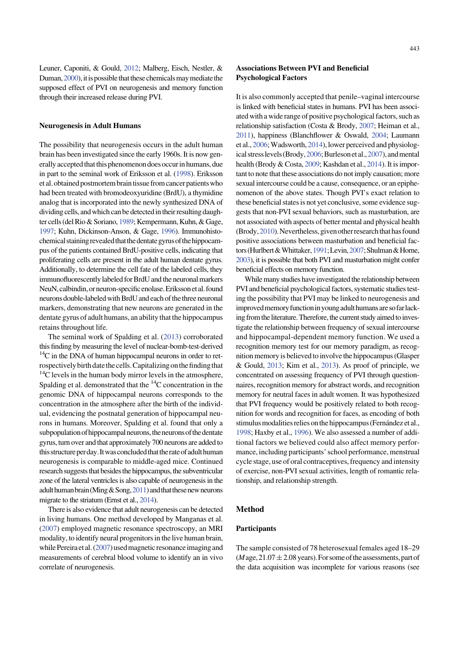Leuner, Caponiti, & Gould, 2012; Malberg, Eisch, Nestler, & Duman, 2000), it is possible that these chemicals may mediate the supposed effect of PVI on neurogenesis and memory function through their increased release during PVI.

#### Neurogenesis in Adult Humans

The possibility that neurogenesis occurs in the adult human brain has been investigated since the early 1960s. It is now generally accepted that this phenomenon does occur in humans, due in part to the seminal work of Eriksson et al. (1998). Eriksson et al. obtained postmortem brain tissue from cancer patients who had been treated with bromodeoxyuridine (BrdU), a thymidine analog that is incorporated into the newly synthesized DNA of dividing cells, and which can be detected in their resulting daughter cells (del Rio & Soriano, 1989; Kempermann, Kuhn, & Gage, 1997; Kuhn, Dickinson-Anson, & Gage, 1996). Immunohistochemical staining revealed that the dentate gyrus of the hippocampus of the patients contained BrdU-positive cells, indicating that proliferating cells are present in the adult human dentate gyrus. Additionally, to determine the cell fate of the labeled cells, they immunofluorescently labeled for BrdU and the neuronal markers NeuN, calbindin, or neuron-specific enolase. Eriksson et al. found neurons double-labeled with BrdU and each of the three neuronal markers, demonstrating that new neurons are generated in the dentate gyrus of adult humans, an ability that the hippocampus retains throughout life.

The seminal work of Spalding et al. (2013) corroborated this finding by measuring the level of nuclear-bomb-test-derived <sup>14</sup>C in the DNA of human hippocampal neurons in order to retrospectively birth date the cells. Capitalizing on the finding that  $14$ C levels in the human body mirror levels in the atmosphere, Spalding et al. demonstrated that the  $^{14}$ C concentration in the genomic DNA of hippocampal neurons corresponds to the concentration in the atmosphere after the birth of the individual, evidencing the postnatal generation of hippocampal neurons in humans. Moreover, Spalding et al. found that only a subpopulation of hippocampal neurons, the neurons of the dentate gyrus, turn over and that approximately 700 neurons are added to this structure per day. It was concluded that the rate of adult human neurogenesis is comparable to middle-aged mice. Continued research suggests that besides the hippocampus, the subventricular zone of the lateral ventricles is also capable of neurogenesis in the adult human brain (Ming & Song,  $2011$ ) and that these new neurons migrate to the striatum (Ernst et al., 2014).

There is also evidence that adult neurogenesis can be detected in living humans. One method developed by Manganas et al. (2007) employed magnetic resonance spectroscopy, an MRI modality, to identify neural progenitors in the live human brain, while Pereira et al. (2007) used magnetic resonance imaging and measurements of cerebral blood volume to identify an in vivo correlate of neurogenesis.

# Associations Between PVI and Beneficial Psychological Factors

It is also commonly accepted that penile–vaginal intercourse is linked with beneficial states in humans. PVI has been associated with a wide range of positive psychological factors, such as relationship satisfaction (Costa & Brody, 2007; Heiman et al., 2011), happiness (Blanchflower & Oswald, 2004; Laumann et al., 2006; Wadsworth, 2014), lower perceived and physiological stress levels (Brody, 2006; Burleson et al., 2007), and mental health (Brody & Costa, 2009; Kashdan et al., 2014). It is important to note that these associations do not imply causation; more sexual intercourse could be a cause, consequence, or an epiphenomenon of the above states. Though PVI's exact relation to these beneficial states is not yet conclusive, some evidence suggests that non-PVI sexual behaviors, such as masturbation, are not associated with aspects of better mental and physical health (Brody, 2010). Nevertheless, given other research that has found positive associations between masturbation and beneficial factors (Hurlbert & Whittaker, 1991; Levin, 2007; Shulman & Horne, 2003), it is possible that both PVI and masturbation might confer beneficial effects on memory function.

While many studies have investigated the relationship between PVI and beneficial psychological factors, systematic studies testing the possibility that PVI may be linked to neurogenesis and improvedmemory functioninyoungadulthumansareso farlacking from the literature. Therefore, the current study aimed to investigate the relationship between frequency of sexual intercourse and hippocampal-dependent memory function. We used a recognition memory test for our memory paradigm, as recognition memory is believed to involve the hippocampus (Glasper & Gould, 2013; Kim et al., 2013). As proof of principle, we concentrated on assessing frequency of PVI through questionnaires, recognition memory for abstract words, and recognition memory for neutral faces in adult women. It was hypothesized that PVI frequency would be positively related to both recognition for words and recognition for faces, as encoding of both stimulus modalities relies on the hippocampus (Fernández et al., 1998; Haxby et al., 1996). We also assessed a number of additional factors we believed could also affect memory performance, including participants' school performance, menstrual cycle stage, use of oral contraceptives, frequency and intensity of exercise, non-PVI sexual activities, length of romantic relationship, and relationship strength.

# Method

#### **Participants**

The sample consisted of 78 heterosexual females aged 18–29  $(Mage, 21.07 \pm 2.08$  years). For some of the assessments, part of the data acquisition was incomplete for various reasons (see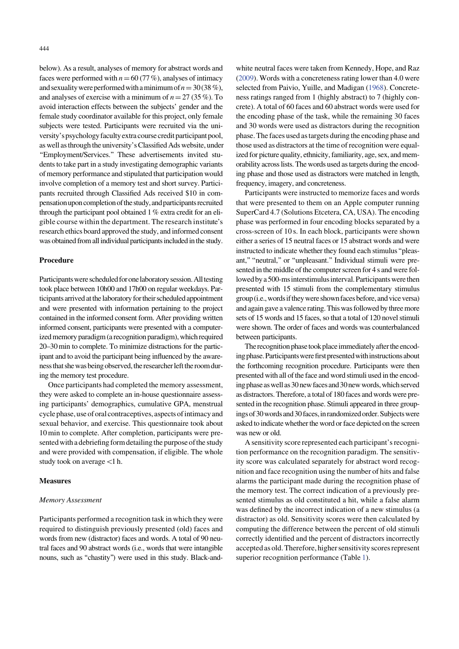below). As a result, analyses of memory for abstract words and faces were performed with  $n=60$  (77%), analyses of intimacy and sexuality were performed with a minimum of  $n=30 (38 \%)$ , and analyses of exercise with a minimum of  $n=27 (35\%)$ . To avoid interaction effects between the subjects' gender and the female study coordinator available for this project, only female subjects were tested. Participants were recruited via the university's psychology facultyextracourse credit participant pool, as well as through the university's Classified Ads website, under ''Employment/Services.'' These advertisements invited students to take part in a study investigating demographic variants of memory performance and stipulated that participation would involve completion of a memory test and short survey. Participants recruited through Classified Ads received \$10 in compensationuponcompletionofthestudy,andparticipants recruited through the participant pool obtained 1% extra credit for an eligible course within the department. The research institute's research ethics board approved the study, and informed consent was obtained from all individual participants included in the study.

#### Procedure

Participants were scheduled for one laboratory session. All testing took place between 10h00 and 17h00 on regular weekdays. Participants arrived at the laboratory for their scheduled appointment and were presented with information pertaining to the project contained in the informed consent form. After providing written informed consent, participants were presented with a computerized memory paradigm (a recognition paradigm), which required 20–30 min to complete. To minimize distractions for the participant and to avoid the participant being influenced by the awareness that she was being observed, the researcher left the room during the memory test procedure.

Once participants had completed the memory assessment, they were asked to complete an in-house questionnaire assessing participants' demographics, cumulative GPA, menstrual cycle phase, use of oral contraceptives, aspects of intimacy and sexual behavior, and exercise. This questionnaire took about 10 min to complete. After completion, participants were presented with a debriefing form detailing the purpose of the study and were provided with compensation, if eligible. The whole study took on average <1 h.

## **Measures**

#### Memory Assessment

Participants performed a recognition task in which they were required to distinguish previously presented (old) faces and words from new (distractor) faces and words. A total of 90 neutral faces and 90 abstract words (i.e., words that were intangible nouns, such as ''chastity'') were used in this study. Black-andwhite neutral faces were taken from Kennedy, Hope, and Raz (2009). Words with a concreteness rating lower than 4.0 were selected from Paivio, Yuille, and Madigan (1968). Concreteness ratings ranged from 1 (highly abstract) to 7 (highly concrete). A total of 60 faces and 60 abstract words were used for the encoding phase of the task, while the remaining 30 faces and 30 words were used as distractors during the recognition phase. The faces used as targets during the encoding phase and those used as distractors at the time of recognition were equalized for picture quality, ethnicity, familiarity, age, sex, and memorability across lists. The words used as targets during the encoding phase and those used as distractors were matched in length, frequency, imagery, and concreteness.

Participants were instructed to memorize faces and words that were presented to them on an Apple computer running SuperCard 4.7 (Solutions Etcetera, CA, USA). The encoding phase was performed in four encoding blocks separated by a cross-screen of 10 s. In each block, participants were shown either a series of 15 neutral faces or 15 abstract words and were instructed to indicate whether they found each stimulus''pleasant," "neutral," or "unpleasant." Individual stimuli were presented in the middle of the computer screen for 4 s and were followed by a 500-ms interstimulus interval. Participants were then presented with 15 stimuli from the complementary stimulus group (i.e.,wordsiftheywere shown faces before, and vice versa) and again gave a valence rating. This was followed by three more sets of 15 words and 15 faces, so that a total of 120 novel stimuli were shown. The order of faces and words was counterbalanced between participants.

The recognition phase took place immediately after the encoding phase. Participants were first presented with instructions about the forthcoming recognition procedure. Participants were then presented with all of the face and word stimuli used in the encoding phase as well as 30 new faces and 30 new words, which served as distractors. Therefore, a total of 180 faces and words were presented in the recognition phase. Stimuli appeared in three groupings of 30 words and 30 faces, in randomized order. Subjects were asked to indicate whether the word or face depicted on the screen was new or old.

A sensitivity score represented each participant's recognition performance on the recognition paradigm. The sensitivity score was calculated separately for abstract word recognition and face recognition using the number of hits and false alarms the participant made during the recognition phase of the memory test. The correct indication of a previously presented stimulus as old constituted a hit, while a false alarm was defined by the incorrect indication of a new stimulus (a distractor) as old. Sensitivity scores were then calculated by computing the difference between the percent of old stimuli correctly identified and the percent of distractors incorrectly accepted as old. Therefore, higher sensitivity scores represent superior recognition performance (Table 1).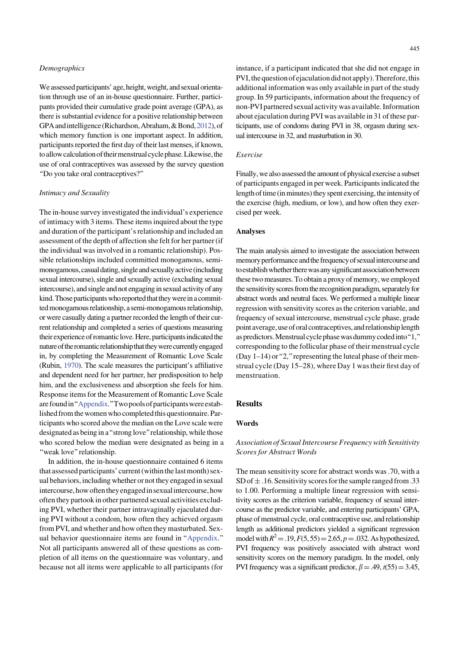#### Demographics

We assessed participants' age, height, weight, and sexual orientation through use of an in-house questionnaire. Further, participants provided their cumulative grade point average (GPA), as there is substantial evidence for a positive relationship between GPAandintelligence (Richardson,Abraham,&Bond,2012), of which memory function is one important aspect. In addition, participants reported the first day of their last menses, if known, to allow calculation of their menstrual cycle phase. Likewise, the use of oral contraceptives was assessed by the survey question ''Do you take oral contraceptives?''

#### Intimacy and Sexuality

The in-house survey investigated the individual's experience of intimacy with 3 items. These items inquired about the type and duration of the participant's relationship and included an assessment of the depth of affection she felt for her partner (if the individual was involved in a romantic relationship). Possible relationships included committed monogamous, semimonogamous, casual dating, single and sexually active (including sexual intercourse), single and sexually active (excluding sexual intercourse), and single and not engaging in sexual activity of any kind. Those participants who reported that they were in a committed monogamous relationship, a semi-monogamous relationship, or were casually dating a partner recorded the length of their current relationship and completed a series of questions measuring their experience of romantic love. Here, participants indicated the nature of the romantic relationship that they were currently engaged in, by completing the Measurement of Romantic Love Scale (Rubin, 1970). The scale measures the participant's affiliative and dependent need for her partner, her predisposition to help him, and the exclusiveness and absorption she feels for him. Response items for the Measurement of Romantic Love Scale are found in "Appendix." Two pools of participants were established from the women who completed this questionnaire. Participants who scored above the median on the Love scale were designated as being in a''strong love''relationship, while those who scored below the median were designated as being in a ''weak love'' relationship.

In addition, the in-house questionnaire contained 6 items that assessed participants' current (within the last month) sexual behaviors, including whether or not they engaged in sexual intercourse, how oftentheyengagedin sexualintercourse, how often they partook in other partnered sexual activities excluding PVI, whether their partner intravaginally ejaculated during PVI without a condom, how often they achieved orgasm from PVI, and whether and how often they masturbated. Sexual behavior questionnaire items are found in ''Appendix.'' Not all participants answered all of these questions as completion of all items on the questionnaire was voluntary, and because not all items were applicable to all participants (for instance, if a participant indicated that she did not engage in PVI, the question of ejaculation did not apply). Therefore, this additional information was only available in part of the study group. In 59 participants, information about the frequency of non-PVI partnered sexual activity was available. Information about ejaculation during PVI was available in 31 of these participants, use of condoms during PVI in 38, orgasm during sexual intercourse in 32, and masturbation in 30.

#### Exercise

Finally, we also assessed the amount of physical exercise a subset of participants engaged in per week. Participants indicated the length of time (in minutes) they spent exercising, the intensity of the exercise (high, medium, or low), and how often they exercised per week.

## Analyses

The main analysis aimed to investigate the association between memory performance and the frequency of sexual intercourse and to establish whether there was any significant association between these two measures. To obtain a proxy of memory, we employed the sensitivity scores fromthe recognition paradigm, separately for abstract words and neutral faces. We performed a multiple linear regression with sensitivity scores as the criterion variable, and frequency of sexual intercourse, menstrual cycle phase, grade pointaverage, use of oral contraceptives, and relationshiplength as predictors. Menstrual cycle phase was dummy coded into "1," corresponding to the follicular phase of their menstrual cycle (Day  $1-14$ ) or "2," representing the luteal phase of their menstrual cycle (Day 15–28), where Day 1 was their first day of menstruation.

## Results

## Words

# Association of Sexual Intercourse Frequency with Sensitivity Scores for Abstract Words

The mean sensitivity score for abstract words was .70, with a SD of  $\pm$  .16. Sensitivity scores for the sample ranged from .33 to 1.00. Performing a multiple linear regression with sensitivity scores as the criterion variable, frequency of sexual intercourse as the predictor variable, and entering participants' GPA, phase of menstrual cycle, oral contraceptive use, and relationship length as additional predictors yielded a significant regression model with  $R^2 = .19$ ,  $F(5, 55) = 2.65$ ,  $p = .032$ . As hypothesized, PVI frequency was positively associated with abstract word sensitivity scores on the memory paradigm. In the model, only PVI frequency was a significant predictor,  $\beta = .49$ ,  $t(55) = 3.45$ ,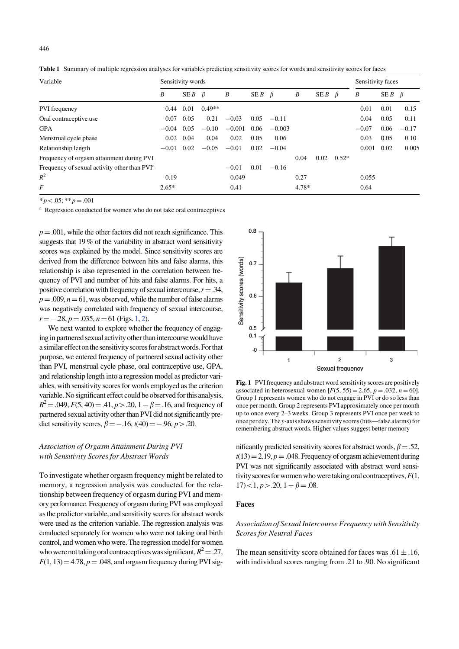Table 1 Summary of multiple regression analyses for variables predicting sensitivity scores for words and sensitivity scores for faces

| Variable                                                 | Sensitivity words |                   |          |          |                   |          |         |      |         | Sensitivity faces |                   |         |
|----------------------------------------------------------|-------------------|-------------------|----------|----------|-------------------|----------|---------|------|---------|-------------------|-------------------|---------|
|                                                          | B                 | $SEB \quad \beta$ |          | B        | $SEB \quad \beta$ |          | B       | SE B | $\beta$ | B                 | $SEB \quad \beta$ |         |
| PVI frequency                                            | 0.44              | 0.01              | $0.49**$ |          |                   |          |         |      |         | 0.01              | 0.01              | 0.15    |
| Oral contraceptive use                                   | 0.07              | 0.05              | 0.21     | $-0.03$  | 0.05              | $-0.11$  |         |      |         | 0.04              | 0.05              | 0.11    |
| <b>GPA</b>                                               | $-0.04$           | 0.05              | $-0.10$  | $-0.001$ | 0.06              | $-0.003$ |         |      |         | $-0.07$           | 0.06              | $-0.17$ |
| Menstrual cycle phase                                    | 0.02              | 0.04              | 0.04     | 0.02     | 0.05              | 0.06     |         |      |         | 0.03              | 0.05              | 0.10    |
| Relationship length                                      | $-0.01$           | 0.02              | $-0.05$  | $-0.01$  | 0.02              | $-0.04$  |         |      |         | 0.001             | 0.02              | 0.005   |
| Frequency of orgasm attainment during PVI                |                   |                   |          |          |                   |          | 0.04    | 0.02 | $0.52*$ |                   |                   |         |
| Frequency of sexual activity other than PVI <sup>a</sup> |                   |                   |          | $-0.01$  | 0.01              | $-0.16$  |         |      |         |                   |                   |         |
| $R^2$                                                    | 0.19              |                   |          | 0.049    |                   |          | 0.27    |      |         | 0.055             |                   |         |
| F                                                        | $2.65*$           |                   |          | 0.41     |                   |          | $4.78*$ |      |         | 0.64              |                   |         |

 $* p < .05; ** p = .001$ 

<sup>a</sup> Regression conducted for women who do not take oral contraceptives

 $p = .001$ , while the other factors did not reach significance. This suggests that 19% of the variability in abstract word sensitivity scores was explained by the model. Since sensitivity scores are derived from the difference between hits and false alarms, this relationship is also represented in the correlation between frequency of PVI and number of hits and false alarms. For hits, a positive correlation with frequency of sexual intercourse,  $r=.34$ ,  $p = .009, n = 61$ , was observed, while the number of false alarms was negatively correlated with frequency of sexual intercourse,  $r=-.28$ ,  $p=.035$ ,  $n=61$  (Figs. 1, 2).

We next wanted to explore whether the frequency of engaging in partnered sexual activity other than intercourse would have asimilareffectonthesensitivityscores forabstractwords.Forthat purpose, we entered frequency of partnered sexual activity other than PVI, menstrual cycle phase, oral contraceptive use, GPA, and relationship length into a regression model as predictor variables, with sensitivity scores for words employed as the criterion variable. No significant effect could be observed forthis analysis,  $R^2 = .049, F(5, 40) = .41, p > .20, 1-\beta = .16$ , and frequency of partnered sexual activity other than PVI did not significantly predict sensitivity scores,  $\beta = -.16$ ,  $t(40) = -.96$ ,  $p > .20$ .

## Association of Orgasm Attainment During PVI with Sensitivity Scores for Abstract Words

To investigate whether orgasm frequency might be related to memory, a regression analysis was conducted for the relationship between frequency of orgasm during PVI and memory performance. Frequency of orgasm during PVI was employed as the predictor variable, and sensitivity scores for abstract words were used as the criterion variable. The regression analysis was conducted separately for women who were not taking oral birth control, and women who were. The regression model for women who were not taking oral contraceptives was significant,  $R^2 = .27$ ,  $F(1, 13) = 4.78$ ,  $p = .048$ , and orgasm frequency during PVI sig-



Fig. 1 PVI frequency and abstract word sensitivity scores are positively associated in heterosexual women  $[F(5, 55) = 2.65, p = .032, n = 60].$ Group 1 represents women who do not engage in PVI or do so less than once per month. Group 2 represents PVI approximately once per month up to once every 2–3 weeks. Group 3 represents PVI once per week to once per day. The y-axis shows sensitivity scores (hits—false alarms) for remembering abstract words. Higher values suggest better memory

nificantly predicted sensitivity scores for abstract words,  $\beta = .52$ ,  $t(13)=2.19, p=.048$ . Frequency of orgasm achievement during PVI was not significantly associated with abstract word sensitivity scores for women who were taking oral contraceptives,  $F(1, 1)$  $17) < 1, p > .20, 1-\beta=.08.$ 

## Faces

# Association of Sexual Intercourse Frequency with Sensitivity Scores for Neutral Faces

The mean sensitivity score obtained for faces was  $.61 \pm .16$ , with individual scores ranging from .21 to .90. No significant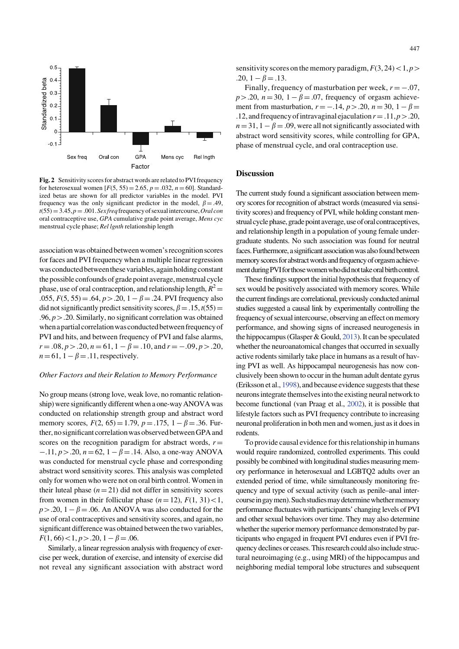

Fig. 2 Sensitivity scores for abstract words are related to PVI frequency for heterosexual women  $[F(5, 55) = 2.65, p = .032, n = 60]$ . Standardized betas are shown for all predictor variables in the model. PVI frequency was the only significant predictor in the model,  $\beta = .49$ ,  $t(55) = 3.45, p = .001$ . Sex freq frequency of sexual intercourse, Oral con oral contraceptive use, GPA cumulative grade point average, Mens cyc menstrual cycle phase; Rel lgnth relationship length

association was obtained between women's recognition scores for faces and PVI frequency when a multiple linear regression was conducted between these variables, again holding constant the possible confounds of grade point average, menstrual cycle phase, use of oral contraception, and relationship length,  $R^2=$ .055,  $F(5, 55) = .64$ ,  $p > .20$ ,  $1 - \beta = .24$ . PVI frequency also did not significantly predict sensitivity scores,  $\beta = .15$ ,  $t(55)$  = .96,  $p > 0.20$ . Similarly, no significant correlation was obtained when a partial correlation was conducted between frequency of PVI and hits, and between frequency of PVI and false alarms,  $r = .08, p > .20, n = 61, 1 - \beta = .10,$  and  $r = -.09, p > .20,$  $n=61, 1-\beta=.11$ , respectively.

#### Other Factors and their Relation to Memory Performance

No group means (strong love, weak love, no romantic relationship) were significantly different when a one-way ANOVA was conducted on relationship strength group and abstract word memory scores,  $F(2, 65) = 1.79$ ,  $p = .175$ ,  $1 - \beta = .36$ . Further, no significant correlation was observed between GPA and scores on the recognition paradigm for abstract words,  $r=$  $-11, p > 0.20, n=62, 1-\beta=0.14$ . Also, a one-way ANOVA was conducted for menstrual cycle phase and corresponding abstract word sensitivity scores. This analysis was completed only for women who were not on oral birth control. Women in their luteal phase  $(n=21)$  did not differ in sensitivity scores from women in their follicular phase  $(n=12), F(1, 31)\lt1,$  $p$  > .20, 1 –  $\beta$  = .06. An ANOVA was also conducted for the use of oral contraceptives and sensitivity scores, and again, no significant difference was obtained between the two variables,  $F(1, 66)$  < 1, p > .20, 1 -  $\beta$  = .06.

Similarly, a linear regression analysis with frequency of exercise per week, duration of exercise, and intensity of exercise did not reveal any significant association with abstract word sensitivity scores on the memory paradigm,  $F(3, 24) < 1, p$  $.20, 1 - \beta = .13.$ 

Finally, frequency of masturbation per week,  $r = -.07$ ,  $p > .20$ ,  $n = 30$ ,  $1 - \beta = .07$ , frequency of orgasm achievement from masturbation,  $r = -.14, p > .20, n = 30, 1 - \beta =$ .12, and frequency of intravaginal ejaculation  $r = .11, p > .20$ ,  $n = 31, 1 - \beta = .09$ , were all not significantly associated with abstract word sensitivity scores, while controlling for GPA, phase of menstrual cycle, and oral contraception use.

## **Discussion**

The current study found a significant association between memory scores for recognition of abstract words (measured via sensitivity scores) and frequency of PVI, while holding constant menstrual cycle phase, grade point average, use of oral contraceptives, and relationship length in a population of young female undergraduate students. No such association was found for neutral faces. Furthermore, a significant association was also found between memory scores for abstract words and frequency of orgasm achievement during PVI for those women who did not take oral birth control.

These findings support the initial hypothesis that frequency of sex would be positively associated with memory scores. While the current findings are correlational, previously conducted animal studies suggested a causal link by experimentally controlling the frequency of sexual intercourse, observing an effect on memory performance, and showing signs of increased neurogenesis in the hippocampus (Glasper & Gould, 2013). It can be speculated whether the neuroanatomical changes that occurred in sexually active rodents similarly take place in humans as a result of having PVI as well. As hippocampal neurogenesis has now conclusively been shown to occur in the human adult dentate gyrus (Eriksson et al., 1998), and because evidence suggests that these neurons integrate themselves into the existing neural network to become functional (van Praag et al., 2002), it is possible that lifestyle factors such as PVI frequency contribute to increasing neuronal proliferation in both men and women, just as it does in rodents.

To provide causal evidence for this relationship in humans would require randomized, controlled experiments. This could possibly be combined with longitudinal studies measuring memory performance in heterosexual and LGBTQ2 adults over an extended period of time, while simultaneously monitoring frequency and type of sexual activity (such as penile–anal intercourse in gay men). Such studies may determine whether memory performance fluctuates with participants' changing levels of PVI and other sexual behaviors over time. They may also determine whether the superior memory performance demonstrated by participants who engaged in frequent PVI endures even if PVI frequency declines or ceases. This research could alsoinclude structural neuroimaging (e.g., using MRI) of the hippocampus and neighboring medial temporal lobe structures and subsequent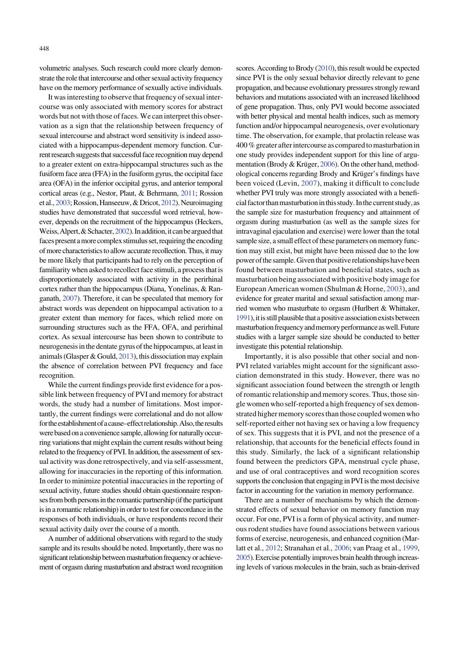volumetric analyses. Such research could more clearly demonstrate the role that intercourse and other sexual activity frequency have on the memory performance of sexually active individuals.

It was interesting to observe that frequency of sexual intercourse was only associated with memory scores for abstract words but not with those of faces. We can interpret this observation as a sign that the relationship between frequency of sexual intercourse and abstract word sensitivity is indeed associated with a hippocampus-dependent memory function. Current research suggests that successful face recognition may depend to a greater extent on extra-hippocampal structures such as the fusiform face area (FFA) in the fusiform gyrus, the occipital face area (OFA) in the inferior occipital gyrus, and anterior temporal cortical areas (e.g., Nestor, Plaut, & Behrmann, 2011; Rossion et al., 2003; Rossion, Hanseeuw, & Dricot, 2012). Neuroimaging studies have demonstrated that successful word retrieval, however, depends on the recruitment of the hippocampus (Heckers, Weiss, Alpert, & Schacter, 2002). In addition, it can be argued that faces present a more complex stimulus set, requiring the encoding of more characteristics to allow accurate recollection. Thus, it may be more likely that participants had to rely on the perception of familiarity when asked to recollect face stimuli, a process that is disproportionately associated with activity in the perirhinal cortex rather than the hippocampus (Diana, Yonelinas, & Ranganath, 2007). Therefore, it can be speculated that memory for abstract words was dependent on hippocampal activation to a greater extent than memory for faces, which relied more on surrounding structures such as the FFA, OFA, and perirhinal cortex. As sexual intercourse has been shown to contribute to neurogenesis in the dentate gyrus of the hippocampus, at least in animals (Glasper & Gould, 2013), this dissociation may explain the absence of correlation between PVI frequency and face recognition.

While the current findings provide first evidence for a possible link between frequency of PVI and memory for abstract words, the study had a number of limitations. Most importantly, the current findings were correlational and do not allow for the establishment of a cause–effect relationship. Also, the results were based on a convenience sample, allowing for naturally occurring variations that might explain the current results without being related to the frequency of PVI. In addition, the assessment of sexual activity was done retrospectively, and via self-assessment, allowing for inaccuracies in the reporting of this information. In order to minimize potential inaccuracies in the reporting of sexual activity, future studies should obtain questionnaire responses from both persons in the romantic partnership (if the participant is in a romantic relationship) in order to test for concordance in the responses of both individuals, or have respondents record their sexual activity daily over the course of a month.

A number of additional observations with regard to the study sample and its results should be noted. Importantly, there was no significant relationship between masturbation frequency or achievement of orgasm during masturbation and abstract word recognition

scores. According to Brody (2010), this result would be expected since PVI is the only sexual behavior directly relevant to gene propagation, and because evolutionary pressures strongly reward behaviors and mutations associated with an increased likelihood of gene propagation. Thus, only PVI would become associated with better physical and mental health indices, such as memory function and/or hippocampal neurogenesis, over evolutionary time. The observation, for example, that prolactin release was 400 % greater after intercourse as compared to masturbation in one study provides independent support for this line of argumentation (Brody & Krüger, 2006). On the other hand, methodological concerns regarding Brody and Krüger's findings have been voiced (Levin, 2007), making it difficult to conclude whether PVI truly was more strongly associated with a beneficial factor than masturbation in this study. In the current study, as the sample size for masturbation frequency and attainment of orgasm during masturbation (as well as the sample sizes for intravaginal ejaculation and exercise) were lower than the total sample size, a small effect of these parameters on memory function may still exist, but might have been missed due to the low power of the sample. Given that positive relationships have been found between masturbation and beneficial states, such as masturbation being associated with positive bodyimage for European American women (Shulman & Horne, 2003), and evidence for greater marital and sexual satisfaction among married women who masturbate to orgasm (Hurlbert & Whittaker,  $1991$ ), it is still plausible that a positive association exists between masturbation frequency and memory performance as well. Future studies with a larger sample size should be conducted to better investigate this potential relationship.

Importantly, it is also possible that other social and non-PVI related variables might account for the significant association demonstrated in this study. However, there was no significant association found between the strength or length of romantic relationship and memory scores. Thus, those single women who self-reported a high frequency of sex demonstrated higher memory scores than those coupled women who self-reported either not having sex or having a low frequency of sex. This suggests that it is PVI, and not the presence of a relationship, that accounts for the beneficial effects found in this study. Similarly, the lack of a significant relationship found between the predictors GPA, menstrual cycle phase, and use of oral contraceptives and word recognition scores supports the conclusion that engaging in PVI is the most decisive factor in accounting for the variation in memory performance.

There are a number of mechanisms by which the demonstrated effects of sexual behavior on memory function may occur. For one, PVI is a form of physical activity, and numerous rodent studies have found associations between various forms of exercise, neurogenesis, and enhanced cognition (Marlatt et al., 2012; Stranahan et al., 2006; van Praag et al., 1999, 2005). Exercise potentially improves brain health through increasing levels of various molecules in the brain, such as brain-derived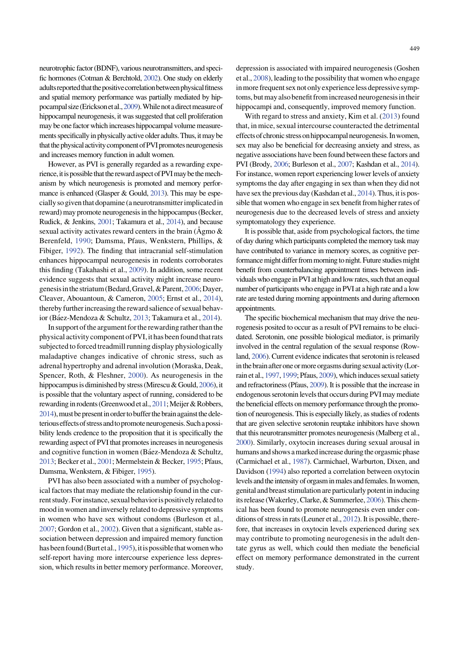neurotrophic factor (BDNF), various neurotransmitters, and specific hormones (Cotman & Berchtold, 2002). One study on elderly adults reported that the positive correlation between physical fitness and spatial memory performance was partially mediated by hippocampal size (Erickson et al., 2009). While not a direct measure of hippocampal neurogenesis, it was suggested that cell proliferation may be one factor which increases hippocampal volume measurements specifically in physically active older adults. Thus, it may be that the physical activity component of PVI promotes neurogenesis and increases memory function in adult women.

However, as PVI is generally regarded as a rewarding experience, it is possible that the reward aspect of PVI may be the mechanism by which neurogenesis is promoted and memory performance is enhanced (Glasper  $&$  Gould, 2013). This may be especially so given that dopamine (a neurotransmitter implicated in reward) may promote neurogenesis in the hippocampus (Becker, Rudick, & Jenkins, 2001; Takamura et al., 2014), and because sexual activity activates reward centers in the brain (Agmo  $\&$ Berenfeld, 1990; Damsma, Pfaus, Wenkstern, Phillips, & Fibiger, 1992). The finding that intracranial self-stimulation enhances hippocampal neurogenesis in rodents corroborates this finding (Takahashi et al., 2009). In addition, some recent evidence suggests that sexual activity might increase neurogenesisinthe striatum (Bedard,Gravel,& Parent,2006;Dayer, Cleaver, Abouantoun, & Cameron, 2005; Ernst et al., 2014), thereby further increasing the reward salience of sexual behavior (Báez-Mendoza & Schultz, 2013; Takamura et al., 2014).

In support of the argument for the rewarding rather than the physical activity component of PVI, it has been found that rats subjected to forced treadmill running display physiologically maladaptive changes indicative of chronic stress, such as adrenal hypertrophy and adrenal involution (Moraska, Deak, Spencer, Roth, & Fleshner, 2000). As neurogenesis in the hippocampus is diminished by stress (Mirescu & Gould,  $2006$ ), it is possible that the voluntary aspect of running, considered to be rewarding in rodents (Greenwood et al., 2011; Meijer & Robbers, 2014), must be present in order to buffer the brain against the deleterious effects of stress and to promote neurogenesis. Such a possibility lends credence to the proposition that it is specifically the rewarding aspect of PVI that promotes increases in neurogenesis and cognitive function in women (Báez-Mendoza & Schultz, 2013; Becker et al., 2001; Mermelstein & Becker, 1995; Pfaus, Damsma, Wenkstern, & Fibiger, 1995).

PVI has also been associated with a number of psychological factors that may mediate the relationship found in the current study. For instance, sexual behavior is positively related to mood in women and inversely related to depressive symptoms in women who have sex without condoms (Burleson et al., 2007; Gordon et al., 2002). Given that a significant, stable association between depression and impaired memory function has been found (Burt et al., 1995), it is possible that women who self-report having more intercourse experience less depression, which results in better memory performance. Moreover,

depression is associated with impaired neurogenesis (Goshen et al., 2008), leading to the possibility that women who engage inmore frequent sex not only experienceless depressive symptoms, but may also benefit from increased neurogenesis in their hippocampi and, consequently, improved memory function.

With regard to stress and anxiety, Kim et al. (2013) found that, in mice, sexual intercourse counteracted the detrimental effects of chronic stress on hippocampal neurogenesis. In women, sex may also be beneficial for decreasing anxiety and stress, as negative associations have been found between these factors and PVI (Brody, 2006; Burleson et al., 2007; Kashdan et al., 2014). For instance, women report experiencing lower levels of anxiety symptoms the day after engaging in sex than when they did not have sex the previous day (Kashdan et al., 2014). Thus, it is possible that women who engage in sex benefit from higher rates of neurogenesis due to the decreased levels of stress and anxiety symptomatology they experience.

It is possible that, aside from psychological factors, the time of day during which participants completed the memory task may have contributed to variance in memory scores, as cognitive performance might differ from morning to night. Future studies might benefit from counterbalancing appointment times between individuals who engage in PVI at high and low rates, such that an equal number of participants who engage in PVI at a high rate and a low rate are tested during morning appointments and during afternoon appointments.

The specific biochemical mechanism that may drive the neurogenesis posited to occur as a result of PVI remains to be elucidated. Serotonin, one possible biological mediator, is primarily involved in the central regulation of the sexual response (Rowland, 2006). Current evidence indicates that serotonin is released inthe brain after one ormore orgasms during sexual activity (Lorrain et al., 1997, 1999; Pfaus, 2009), which induces sexual satiety and refractoriness (Pfaus, 2009). It is possible that the increase in endogenous serotonin levels that occurs during PVI may mediate the beneficial effects on memory performance through the promotion of neurogenesis. This is especially likely, as studies of rodents that are given selective serotonin reuptake inhibitors have shown that this neurotransmitter promotes neurogenesis (Malberg et al., 2000). Similarly, oxytocin increases during sexual arousal in humans and shows a marked increase during the orgasmic phase (Carmichael et al., 1987). Carmichael, Warburton, Dixen, and Davidson (1994) also reported a correlation between oxytocin levels and the intensity of orgasm in males and females. In women, genital and breast stimulation are particularly potentininducing its release (Wakerley, Clarke, & Summerlee, 2006). This chemical has been found to promote neurogenesis even under conditions of stress in rats (Leuner et al., 2012). It is possible, therefore, that increases in oxytocin levels experienced during sex may contribute to promoting neurogenesis in the adult dentate gyrus as well, which could then mediate the beneficial effect on memory performance demonstrated in the current study.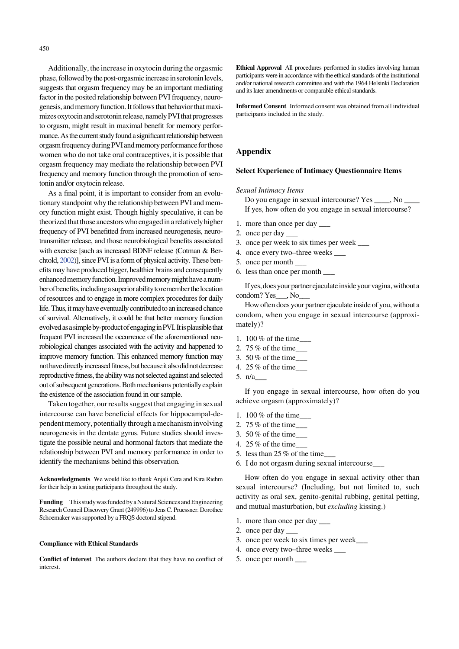Additionally, the increase in oxytocin during the orgasmic phase, followed by the post-orgasmic increase in serotonin levels, suggests that orgasm frequency may be an important mediating factor in the posited relationship between PVI frequency, neurogenesis, and memory function. It follows that behavior that maximizes oxytocin and serotonin release, namely PVI that progresses to orgasm, might result in maximal benefit for memory performance. As the current study found a significant relationship between orgasm frequency during PVI and memory performance for those women who do not take oral contraceptives, it is possible that orgasm frequency may mediate the relationship between PVI frequency and memory function through the promotion of serotonin and/or oxytocin release.

As a final point, it is important to consider from an evolutionary standpoint why the relationship between PVI and memory function might exist. Though highly speculative, it can be theorized that those ancestors who engaged in a relatively higher frequency of PVI benefitted from increased neurogenesis, neurotransmitter release, and those neurobiological benefits associated with exercise [such as increased BDNF release (Cotman & Berchtold, 2002)], since PVI is a form of physical activity. These benefits may have produced bigger, healthier brains and consequently enhanced memory function. Improved memory might have a number of benefits, including a superior ability to remember the location of resources and to engage in more complex procedures for daily life. Thus, it may have eventually contributed to an increased chance of survival. Alternatively, it could be that better memory function evolvedasasimpleby-productofengaginginPVI. Itisplausiblethat frequent PVI increased the occurrence of the aforementioned neurobiological changes associated with the activity and happened to improve memory function. This enhanced memory function may not have directly increased fitness, but because it also did not decrease reproductive fitness, the ability was not selected against and selected out of subsequent generations. Both mechanisms potentially explain the existence of the association found in our sample.

Taken together, our results suggest that engaging in sexual intercourse can have beneficial effects for hippocampal-dependent memory, potentiallythrough a mechanism involving neurogenesis in the dentate gyrus. Future studies should investigate the possible neural and hormonal factors that mediate the relationship between PVI and memory performance in order to identify the mechanisms behind this observation.

Acknowledgments We would like to thank Anjali Cera and Kira Riehm for their help in testing participants throughout the study.

Funding This study was funded by a Natural Sciences and Engineering Research Council Discovery Grant (249996) to Jens C. Pruessner. Dorothee Schoemaker was supported by a FRQS doctoral stipend.

#### Compliance with Ethical Standards

Conflict of interest The authors declare that they have no conflict of interest.

Ethical Approval All procedures performed in studies involving human participants were in accordance with the ethical standards of the institutional and/or national research committee and with the 1964 Helsinki Declaration and its later amendments or comparable ethical standards.

Informed Consent Informed consent was obtained from all individual participants included in the study.

# Appendix

#### Select Experience of Intimacy Questionnaire Items

## Sexual Intimacy Items

Do you engage in sexual intercourse? Yes \_\_\_\_, No \_ If yes, how often do you engage in sexual intercourse?

- 1. more than once per day
- 2. once per day
- 3. once per week to six times per week \_\_\_
- 4. once every two–three weeks \_\_\_
- 5. once per month
- 6. less than once per month \_\_\_

If yes, does your partner ejaculate inside your vagina, without a condom? Yes\_\_\_, No\_\_\_

How often does your partner ejaculate inside of you, without a condom, when you engage in sexual intercourse (approximately)?

- 1. 100 % of the time\_\_\_
- 2. 75 % of the time
- 3. 50 % of the time\_\_\_
- 4. 25 % of the time
- 5. n/a\_\_\_

If you engage in sexual intercourse, how often do you achieve orgasm (approximately)?

- 1. 100 % of the time
- 2. 75 % of the time
- 3. 50 % of the time\_\_\_
- 4. 25  $%$  of the time
- 5. less than 25 % of the time\_\_\_
- 6. I do not orgasm during sexual intercourse\_\_\_

How often do you engage in sexual activity other than sexual intercourse? (Including, but not limited to, such activity as oral sex, genito-genital rubbing, genital petting, and mutual masturbation, but excluding kissing.)

- 1. more than once per day
- 2. once per day \_\_\_
- 3. once per week to six times per week\_\_\_
- 4. once every two–three weeks \_\_\_
- 5. once per month \_\_\_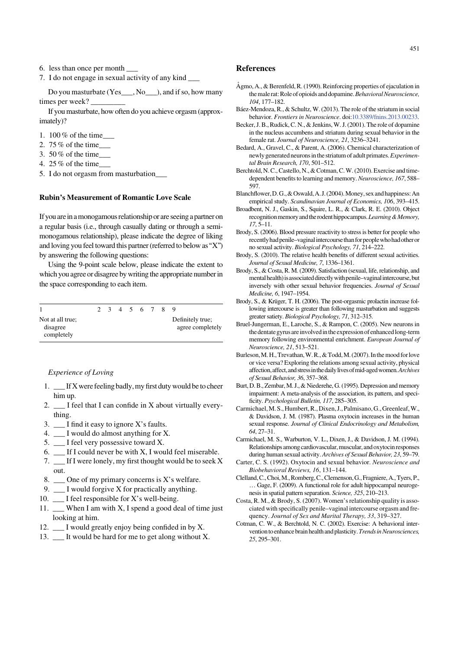7. I do not engage in sexual activity of any kind \_\_\_

Do you masturbate (Yes\_\_\_, No\_\_\_), and if so, how many times per week?

If you masturbate, how often do you achieve orgasm (approximately)?

- 1. 100 % of the time
- 2. 75 % of the time
- 3. 50 % of the time\_\_\_
- 4. 25 % of the time\_\_\_
- 5. I do not orgasm from masturbation\_\_\_

## Rubin's Measurement of Romantic Love Scale

If you are in a monogamous relationship or are seeing a partner on a regular basis (i.e., through casually dating or through a semimonogamous relationship), please indicate the degree of liking and loving you feel toward this partner (referred to below as''X'') by answering the following questions:

Using the 9-point scale below, please indicate the extent to which you agree or disagree by writing the appropriate number in the space corresponding to each item.

|                                            |  |  | 2 3 4 5 6 7 8 |  |                                      |
|--------------------------------------------|--|--|---------------|--|--------------------------------------|
| Not at all true:<br>disagree<br>completely |  |  |               |  | Definitely true;<br>agree completely |

## Experience of Loving

- 1. \_\_ If X were feeling badly, my first duty would be to cheer him up.
- 2. \_\_\_ I feel that I can confide in X about virtually everything.
- 3. \_\_\_ I find it easy to ignore X's faults.
- 4. \_\_\_ I would do almost anything for X.
- 5. \_\_\_ I feel very possessive toward X.
- 6. If I could never be with  $X$ , I would feel miserable.
- 7. \_\_\_ If I were lonely, my first thought would be to seek X out.
- 8. \_\_\_ One of my primary concerns is X's welfare.
- 9. \_\_\_ I would forgive X for practically anything.
- 10. \_\_ I feel responsible for X's well-being.
- 11. \_\_\_ When I am with X, I spend a good deal of time just looking at him.
- 12. I would greatly enjoy being confided in by X.
- 13. It would be hard for me to get along without  $X$ .

#### References

- $\AA$ gmo, A., & Berenfeld, R. (1990). Reinforcing properties of ejaculation in the male rat: Role of opioids and dopamine. Behavioral Neuroscience, 104, 177–182.
- Báez-Mendoza, R., & Schultz, W. (2013). The role of the striatum in social behavior. Frontiers in Neuroscience. doi:10.3389/fnins.2013.00233.
- Becker, J. B., Rudick, C. N., & Jenkins, W. J. (2001). The role of dopamine in the nucleus accumbens and striatum during sexual behavior in the female rat. Journal of Neuroscience, 21, 3236–3241.
- Bedard, A., Gravel, C., & Parent, A. (2006). Chemical characterization of newly generated neurons in the striatum of adult primates. Experimental Brain Research, 170, 501–512.
- Berchtold, N. C., Castello, N., & Cotman, C.W. (2010). Exercise and timedependent benefits to learning and memory. Neuroscience, 167, 588-597.
- Blanchflower,D.G.,&Oswald,A. J. (2004).Money, sexand happiness:An empirical study. Scandinavian Journal of Economics, 106, 393–415.
- Broadbent, N. J., Gaskin, S., Squire, L. R., & Clark, R. E. (2010). Object recognition memory and the rodent hippocampus. Learning & Memory, 17, 5–11.
- Brody, S. (2006). Blood pressure reactivity to stress is better for people who recently had penile-vaginal intercourse than for people who had other or no sexual activity. Biological Psychology, 71, 214–222.
- Brody, S. (2010). The relative health benefits of different sexual activities. Journal of Sexual Medicine, 7, 1336–1361.
- Brody, S., & Costa, R. M. (2009). Satisfaction (sexual, life, relationship, and mental health) is associated directly with penile–vaginal intercourse, but inversely with other sexual behavior frequencies. Journal of Sexual Medicine, 6, 1947–1954.
- Brody, S., & Krüger, T. H. (2006). The post-orgasmic prolactin increase following intercourse is greater than following masturbation and suggests greater satiety. Biological Psychology, 71, 312–315.
- Bruel-Jungerman, E., Laroche, S., & Rampon, C. (2005). New neurons in the dentate gyrus are involved in the expression of enhanced long-term memory following environmental enrichment. European Journal of Neuroscience, 21, 513–521.
- Burleson, M.H., Trevathan, W.R., & Todd, M. (2007). In the mood for love or vice versa? Exploring the relations among sexual activity, physical affection, affect, and stress in the daily lives of mid-aged women. Archives of Sexual Behavior, 36, 357–368.
- Burt, D. B., Zembar, M. J., & Niederehe, G. (1995). Depression and memory impairment: A meta-analysis of the association, its pattern, and specificity. Psychological Bulletin, 117, 285–305.
- Carmichael,M. S., Humbert,R., Dixen, J., Palmisano, G., Greenleaf,W., & Davidson, J. M. (1987). Plasma oxytocin increases in the human sexual response. Journal of Clinical Endocrinology and Metabolism, 64, 27–31.
- Carmichael, M. S., Warburton, V. L., Dixen, J., & Davidson, J. M. (1994). Relationships among cardiovascular, muscular, and oxytocin responses during human sexual activity. Archives of Sexual Behavior, 23, 59–79.
- Carter, C. S. (1992). Oxytocin and sexual behavior. Neuroscience and Biobehavioral Reviews, 16, 131–144.
- Clelland,C.,Choi,M.,Romberg,C.,Clemenson,G., Fragniere,A.,Tyers, P., … Gage, F. (2009). A functional role for adult hippocampal neurogenesis in spatial pattern separation. Science, 325, 210–213.
- Costa, R. M., & Brody, S. (2007). Women's relationship quality is associated with specifically penile–vaginal intercourse orgasm and frequency. Journal of Sex and Marital Therapy, 33, 319–327.
- Cotman, C. W., & Berchtold, N. C. (2002). Exercise: A behavioral intervention to enhance brain health and plasticity. Trends in Neurosciences, 25, 295–301.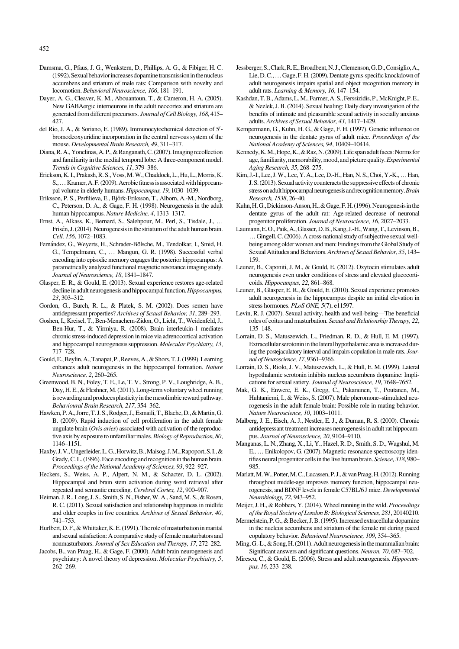- Damsma, G., Pfaus, J. G., Wenkstern, D., Phillips, A. G., & Fibiger, H. C. (1992).Sexualbehaviorincreasesdopaminetransmissioninthenucleus accumbens and striatum of male rats: Comparison with novelty and locomotion. Behavioral Neuroscience, 106, 181–191.
- Dayer, A. G., Cleaver, K. M., Abouantoun, T., & Cameron, H. A. (2005). New GABAergic interneurons in the adult neocortex and striatum are generated from different precursors. Journal of Cell Biology, 168, 415– 427.
- del Rio, J. A., & Soriano, E. (1989). Immunocytochemical detection of 5'bromodeoxyuridine incorporation in the central nervous system of the mouse. Developmental Brain Research, 49, 311–317.
- Diana,R. A., Yonelinas,A. P.,&Ranganath,C. (2007). Imaging recollection and familiarity in the medial temporal lobe: A three-component model. Trends in Cognitive Sciences, 11, 379–386.
- Erickson, K. I., Prakash, R. S., Voss, M. W., Chaddock, L., Hu, L., Morris, K. S., ... Kramer, A. F. (2009). Aerobic fitness is associated with hippocampal volume in elderly humans. Hippocampus, 19, 1030–1039.
- Eriksson, P. S., Perfilieva, E., Björk-Eriksson, T., Alborn, A.-M., Nordborg, C., Peterson, D. A., & Gage, F. H. (1998). Neurogenesis in the adult human hippocampus. Nature Medicine, 4, 1313–1317.
- Ernst, A., Alkass, K., Bernard, S., Salehpour, M., Perl, S., Tisdale, J., … Frisén, J. (2014). Neurogenesis in the striatum of the adult human brain. Cell, 156, 1072–1083.
- Fernández, G., Weyerts, H., Schrader-Bölsche, M., Tendolkar, I., Smid, H. G., Tempelmann, C., … Mangun, G. R. (1998). Successful verbal encoding into episodic memory engages the posterior hippocampus: A parametrically analyzed functional magnetic resonance imaging study. Journal of Neuroscience, 18, 1841–1847.
- Glasper, E. R., & Gould, E. (2013). Sexual experience restores age-related decline in adult neurogenesis and hippocampal function. Hippocampus, 23, 303–312.
- Gordon, G., Burch, R. L., & Platek, S. M. (2002). Does semen have antidepressant properties? Archives of Sexual Behavior, 31, 289–293.
- Goshen, I., Kreisel, T., Ben-Menachem-Zidon, O., Licht, T., Weidenfeld, J., Ben-Hur, T., & Yirmiya, R. (2008). Brain interleukin-1 mediates chronic stress-induced depression in mice via adrenocortical activation and hippocampal neurogenesis suppression. Molecular Psychiatry, 13, 717–728.
- Gould,E.,Beylin,A.,Tanapat, P.,Reeves,A.,&Shors,T. J. (1999).Learning enhances adult neurogenesis in the hippocampal formation. Nature Neuroscience, 2, 260–265.
- Greenwood, B. N., Foley, T. E., Le, T. V., Strong, P. V., Loughridge, A. B., Day, H. E., & Fleshner, M. (2011). Long-term voluntary wheel running is rewarding and produces plasticity in the mesolimbic reward pathway. Behavioural Brain Research, 217, 354–362.
- Hawken, P.A., Jorre, T.J.S., Rodger, J., Esmaili, T., Blache, D., & Martin, G. B. (2009). Rapid induction of cell proliferation in the adult female ungulate brain  $(Ovis\,aries)$  associated with activation of the reproductive axis by exposure to unfamiliar males. Biology of Reproduction, 80, 1146–1151.
- Haxby, J.V.,Ungerleider,L.G.,Horwitz,B.,Maisog, J.M.,Rapoport,S. I.,& Grady, C. L. (1996). Face encoding and recognition in the human brain. Proceedings of the National Academy of Sciences, 93, 922–927.
- Heckers, S., Weiss, A. P., Alpert, N. M., & Schacter, D. L. (2002). Hippocampal and brain stem activation during word retrieval after repeated and semantic encoding. Cerebral Cortex, 12, 900–907.
- Heiman, J. R., Long, J. S., Smith, S. N., Fisher, W. A., Sand, M. S., & Rosen, R. C. (2011). Sexual satisfaction and relationship happiness in midlife and older couples in five countries. Archives of Sexual Behavior, 40, 741–753.
- Hurlbert, D. F., & Whittaker, K. E. (1991). The role of masturbation in marital and sexual satisfaction: A comparative study of female masturbators and nonmasturbators. Journal of Sex Education and Therapy, 17, 272–282.
- Jacobs, B., van Praag, H., & Gage, F. (2000). Adult brain neurogenesis and psychiatry: A novel theory of depression. Molecular Psychiatry, 5, 262–269.
- Jessberger,S.,Clark,R.E.,Broadbent,N. J.,Clemenson,G.D.,Consiglio,A., Lie, D.C.,…Gage, F. H. (2009). Dentate gyrus-specific knockdown of adult neurogenesis impairs spatial and object recognition memory in adult rats. Learning & Memory, 16, 147–154.
- Kashdan,T.B.,Adams,L.M., Farmer,A. S., Ferssizidis, P.,McKnight, P.E., & Nezlek, J. B. (2014). Sexual healing: Daily diary investigation of the benefits of intimate and pleasurable sexual activity in socially anxious adults. Archives of Sexual Behavior, 43, 1417–1429.
- Kempermann, G., Kuhn, H. G., & Gage, F. H. (1997). Genetic influence on neurogenesis in the dentate gyrus of adult mice. Proceedings of the National Academy of Sciences, 94, 10409–10414.
- Kennedy, K.M., Hope, K., & Raz, N. (2009). Life span adult faces: Norms for age, familiarity, memorability, mood, and picture quality. Experimental Aging Research, 35, 268–275.
- Kim, J.-I., Lee, J.W., Lee, Y. A., Lee, D.-H., Han, N. S.,Choi, Y.-K.,…Han, J. S. (2013). Sexual activity counteracts the suppressive effects of chronic stress on adult hippocampal neurogenesis and recognition memory. Brain Research, 1538, 26–40.
- Kuhn, H.G., Dickinson-Anson, H., & Gage, F.H. (1996). Neurogenesis in the dentate gyrus of the adult rat: Age-related decrease of neuronal progenitor proliferation. Journal of Neuroscience, 16, 2027–2033.
- Laumann,E.O., Paik,A.,Glasser,D.B.,Kang, J.-H.,Wang,T.,Levinson,B., …Gingell, C. (2006). A cross-national study of subjective sexual wellbeing among older women and men: Findings from the Global Study of Sexual Attitudes and Behaviors.Archives of Sexual Behavior, 35, 143– 159.
- Leuner, B., Caponiti, J. M., & Gould, E. (2012). Oxytocin stimulates adult neurogenesis even under conditions of stress and elevated glucocorticoids. Hippocampus, 22, 861–868.
- Leuner, B., Glasper, E. R., & Gould, E. (2010). Sexual experience promotes adult neurogenesis in the hippocampus despite an initial elevation in stress hormones. PLoS ONE, 5(7), e11597.
- Levin, R. J. (2007). Sexual activity, health and well-being—The beneficial roles of coitus and masturbation. Sexual and Relationship Therapy, 22, 135–148.
- Lorrain, D. S., Matuszewich, L., Friedman, R. D., & Hull, E. M. (1997). Extracellular serotonin in the lateral hypothalamic area is increased during the postejaculatory interval and impairs copulation in male rats. Journal of Neuroscience, 17, 9361–9366.
- Lorrain, D. S., Riolo, J. V., Matuszewich, L., & Hull, E. M. (1999). Lateral hypothalamic serotonin inhibits nucleus accumbens dopamine: Implications for sexual satiety. Journal of Neuroscience, 19, 7648–7652.
- Mak, G. K., Enwere, E. K., Gregg, C., Pakarainen, T., Poutanen, M., Huhtaniemi, I., & Weiss, S. (2007). Male pheromone–stimulated neurogenesis in the adult female brain: Possible role in mating behavior. Nature Neuroscience, 10, 1003–1011.
- Malberg, J. E., Eisch, A. J., Nestler, E. J., & Duman, R. S. (2000). Chronic antidepressant treatment increases neurogenesis in adult rat hippocampus. Journal of Neuroscience, 20, 9104–9110.
- Manganas, L. N., Zhang, X., Li, Y., Hazel, R. D., Smith, S. D., Wagshul, M. E., … Enikolopov, G. (2007). Magnetic resonance spectroscopy identifies neural progenitor cells in the live human brain. Science, 318, 980– 985.
- Marlatt, M. W., Potter, M. C., Lucassen, P. J., & van Praag, H. (2012). Running throughout middle-age improves memory function, hippocampal neurogenesis, and BDNF levels in female C57BL/6 J mice. Developmental Neurobiology, 72, 943–952.
- Meijer, J. H., & Robbers, Y. (2014). Wheel running in the wild. Proceedings of the Royal Society of London B: Biological Sciences, 281, 20140210.
- Mermelstein, P. G., & Becker, J. B. (1995). Increased extracellular dopamine in the nucleus accumbens and striatum of the female rat during paced copulatory behavior. Behavioral Neuroscience, 109, 354–365.
- Ming, G.-L., & Song, H. (2011). Adult neurogenesis in the mammalian brain: Significant answers and significant questions. Neuron, 70, 687–702.
- Mirescu, C., & Gould, E. (2006). Stress and adult neurogenesis. Hippocampus, 16, 233–238.